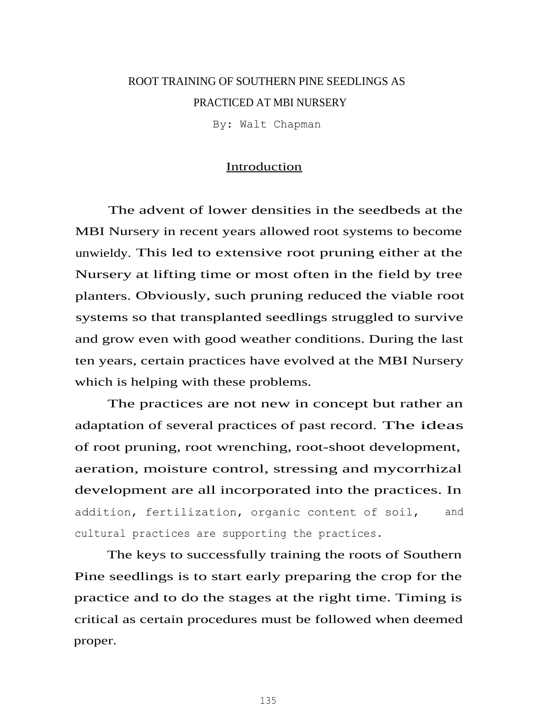# ROOT TRAINING OF SOUTHERN PINE SEEDLINGS AS PRACTICED AT MBI NURSERY

By: Walt Chapman

## Introduction

The advent of lower densities in the seedbeds at the MBI Nursery in recent years allowed root systems to become unwieldy. This led to extensive root pruning either at the Nursery at lifting time or most often in the field by tree planters. Obviously, such pruning reduced the viable root systems so that transplanted seedlings struggled to survive and grow even with good weather conditions. During the last ten years, certain practices have evolved at the MBI Nursery which is helping with these problems.

The practices are not new in concept but rather an adaptation of several practices of past record. The ideas of root pruning, root wrenching, root-shoot development, aeration, moisture control, stressing and mycorrhizal development are all incorporated into the practices. In addition, fertilization, organic content of soil, and cultural practices are supporting the practices.

The keys to successfully training the roots of Southern Pine seedlings is to start early preparing the crop for the practice and to do the stages at the right time. Timing is critical as certain procedures must be followed when deemed proper.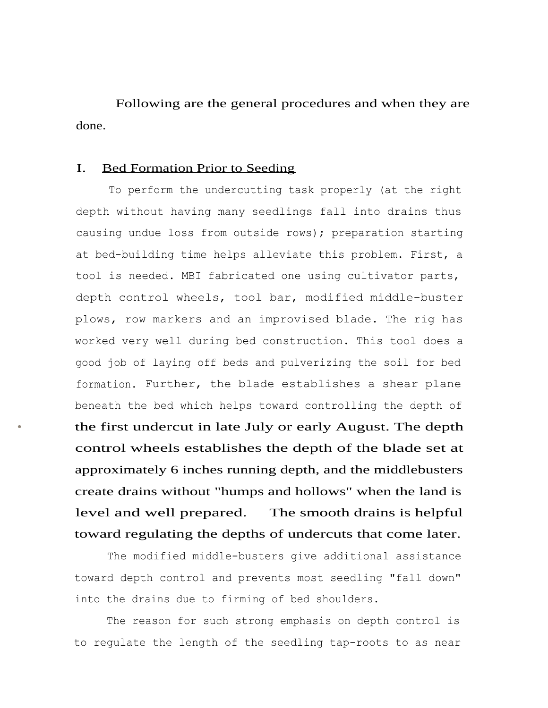Following are the general procedures and when they are done.

### I. Bed Formation Prior to Seeding

To perform the undercutting task properly (at the right depth without having many seedlings fall into drains thus causing undue loss from outside rows); preparation starting at bed-building time helps alleviate this problem. First, a tool is needed. MBI fabricated one using cultivator parts, depth control wheels, tool bar, modified middle-buster plows, row markers and an improvised blade. The rig has worked very well during bed construction. This tool does a good job of laying off beds and pulverizing the soil for bed formation. Further, the blade establishes a shear plane beneath the bed which helps toward controlling the depth of • the first undercut in late July or early August. The depth control wheels establishes the depth of the blade set at approximately 6 inches running depth, and the middlebusters create drains without "humps and hollows" when the land is level and well prepared. The smooth drains is helpful toward regulating the depths of undercuts that come later.

The modified middle-busters give additional assistance toward depth control and prevents most seedling "fall down" into the drains due to firming of bed shoulders.

The reason for such strong emphasis on depth control is to regulate the length of the seedling tap-roots to as near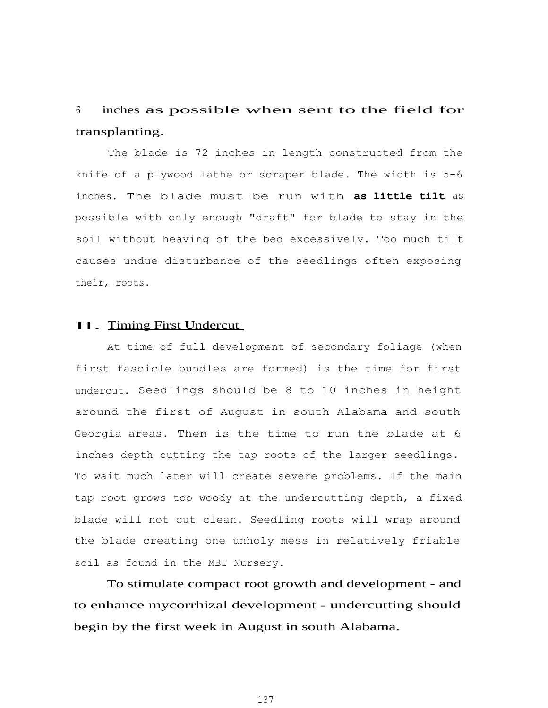# <sup>6</sup> inches as possible when sent to the field for transplanting.

The blade is 72 inches in length constructed from the knife of a plywood lathe or scraper blade. The width is 5-6 inches. The blade must be run with **as little tilt** as possible with only enough "draft" for blade to stay in the soil without heaving of the bed excessively. Too much tilt causes undue disturbance of the seedlings often exposing their, roots.

#### II. Timing First Undercut

At time of full development of secondary foliage (when first fascicle bundles are formed) is the time for first undercut. Seedlings should be 8 to 10 inches in height around the first of August in south Alabama and south Georgia areas. Then is the time to run the blade at 6 inches depth cutting the tap roots of the larger seedlings. To wait much later will create severe problems. If the main tap root grows too woody at the undercutting depth, a fixed blade will not cut clean. Seedling roots will wrap around the blade creating one unholy mess in relatively friable soil as found in the MBI Nursery.

To stimulate compact root growth and development - and to enhance mycorrhizal development - undercutting should begin by the first week in August in south Alabama.

137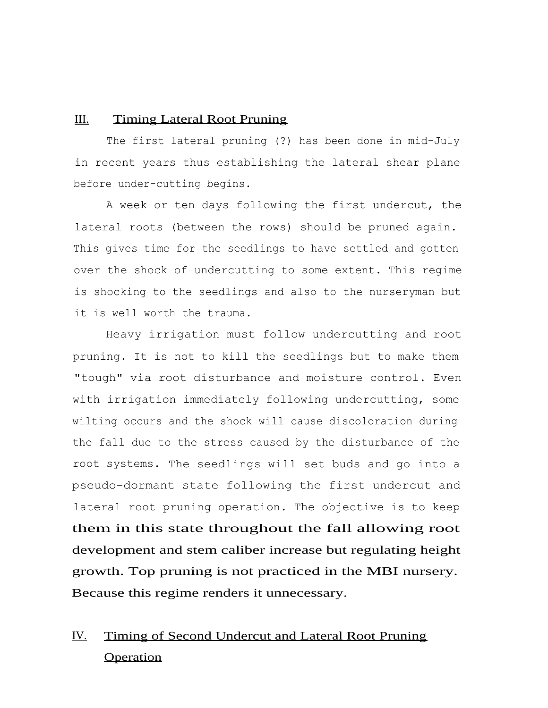### III. Timing Lateral Root Pruning

The first lateral pruning (?) has been done in mid-July in recent years thus establishing the lateral shear plane before under-cutting begins.

A week or ten days following the first undercut, the lateral roots (between the rows) should be pruned again. This gives time for the seedlings to have settled and gotten over the shock of undercutting to some extent. This regime is shocking to the seedlings and also to the nurseryman but it is well worth the trauma.

Heavy irrigation must follow undercutting and root pruning. It is not to kill the seedlings but to make them "tough" via root disturbance and moisture control. Even with irrigation immediately following undercutting, some wilting occurs and the shock will cause discoloration during the fall due to the stress caused by the disturbance of the root systems. The seedlings will set buds and go into a pseudo-dormant state following the first undercut and lateral root pruning operation. The objective is to keep them in this state throughout the fall allowing root development and stem caliber increase but regulating height growth. Top pruning is not practiced in the MBI nursery. Because this regime renders it unnecessary.

# IV. Timing of Second Undercut and Lateral Root Pruning **Operation**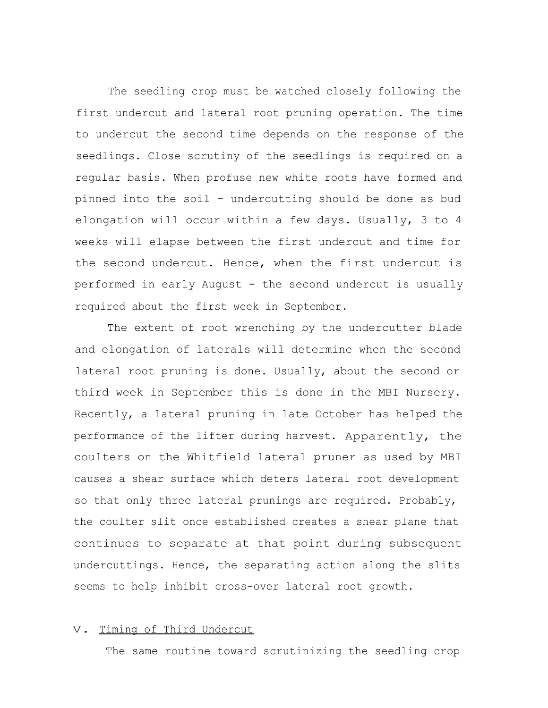The seedling crop must be watched closely following the first undercut and lateral root pruning operation. The time to undercut the second time depends on the response of the seedlings. Close scrutiny of the seedlings is required on a regular basis. When profuse new white roots have formed and pinned into the soil - undercutting should be done as bud elongation will occur within a few days. Usually, 3 to 4 weeks will elapse between the first undercut and time for the second undercut. Hence, when the first undercut is performed in early August - the second undercut is usually required about the first week in September.

The extent of root wrenching by the undercutter blade and elongation of laterals will determine when the second lateral root pruning is done. Usually, about the second or third week in September this is done in the MBI Nursery. Recently, a lateral pruning in late October has helped the performance of the lifter during harvest. Apparently, the coulters on the Whitfield lateral pruner as used by MBI causes a shear surface which deters lateral root development so that only three lateral prunings are required. Probably, the coulter slit once established creates a shear plane that continues to separate at that point during subsequent undercuttings. Hence, the separating action along the slits seems to help inhibit cross-over lateral root growth.

### V. Timing of Third Undercut

The same routine toward scrutinizing the seedling crop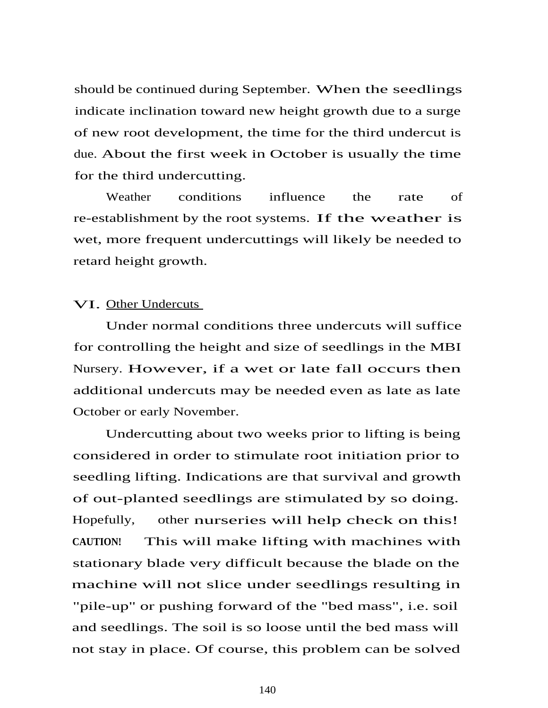should be continued during September. When the seedlings indicate inclination toward new height growth due to a surge of new root development, the time for the third undercut is due. About the first week in October is usually the time for the third undercutting.

Weather conditions influence the rate of re-establishment by the root systems. If the weather is wet, more frequent undercuttings will likely be needed to retard height growth.

## VI. Other Undercuts

Under normal conditions three undercuts will suffice for controlling the height and size of seedlings in the MBI Nursery. However, if a wet or late fall occurs then additional undercuts may be needed even as late as late October or early November.

Undercutting about two weeks prior to lifting is being considered in order to stimulate root initiation prior to seedling lifting. Indications are that survival and growth of out-planted seedlings are stimulated by so doing. Hopefully, other nurseries will help check on this! **CAUTION!** This will make lifting with machines with stationary blade very difficult because the blade on the machine will not slice under seedlings resulting in "pile-up" or pushing forward of the "bed mass", i.e. soil and seedlings. The soil is so loose until the bed mass will not stay in place. Of course, this problem can be solved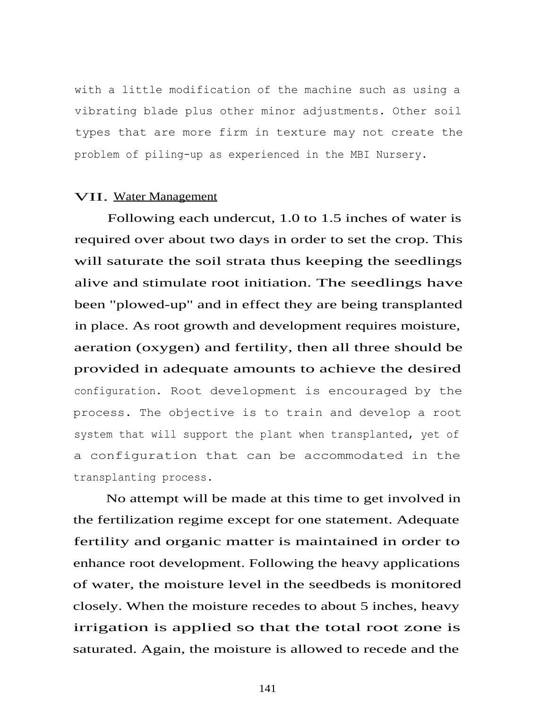with a little modification of the machine such as using a vibrating blade plus other minor adjustments. Other soil types that are more firm in texture may not create the problem of piling-up as experienced in the MBI Nursery.

### VII. Water Management

Following each undercut, 1.0 to 1.5 inches of water is required over about two days in order to set the crop. This will saturate the soil strata thus keeping the seedlings alive and stimulate root initiation. The seedlings have been "plowed-up" and in effect they are being transplanted in place. As root growth and development requires moisture, aeration (oxygen) and fertility, then all three should be provided in adequate amounts to achieve the desired configuration. Root development is encouraged by the process. The objective is to train and develop a root system that will support the plant when transplanted, yet of a configuration that can be accommodated in the transplanting process.

No attempt will be made at this time to get involved in the fertilization regime except for one statement. Adequate fertility and organic matter is maintained in order to enhance root development. Following the heavy applications of water, the moisture level in the seedbeds is monitored closely. When the moisture recedes to about 5 inches, heavy irrigation is applied so that the total root zone is saturated. Again, the moisture is allowed to recede and the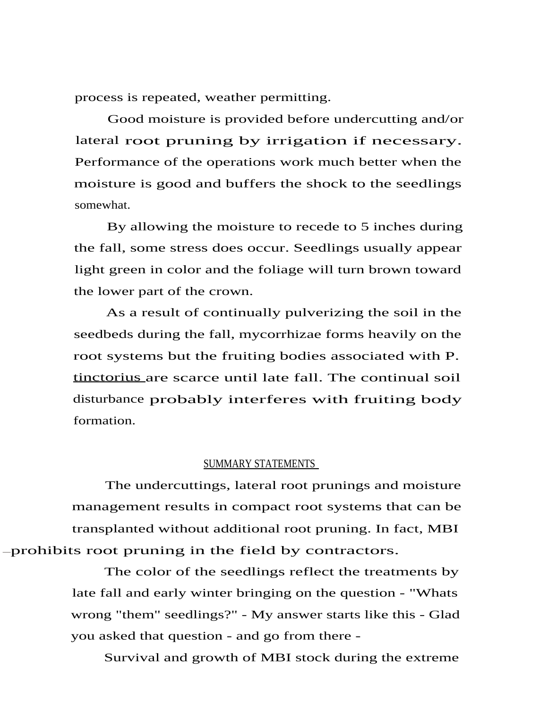process is repeated, weather permitting.

Good moisture is provided before undercutting and/or lateral root pruning by irrigation if necessary. Performance of the operations work much better when the moisture is good and buffers the shock to the seedlings somewhat.

By allowing the moisture to recede to 5 inches during the fall, some stress does occur. Seedlings usually appear light green in color and the foliage will turn brown toward the lower part of the crown.

As a result of continually pulverizing the soil in the seedbeds during the fall, mycorrhizae forms heavily on the root systems but the fruiting bodies associated with P. tinctorius are scarce until late fall. The continual soil disturbance probably interferes with fruiting body formation.

#### SUMMARY STATEMENTS

The undercuttings, lateral root prunings and moisture management results in compact root systems that can be transplanted without additional root pruning. In fact, MBI prohibits root pruning in the field by contractors.

> The color of the seedlings reflect the treatments by late fall and early winter bringing on the question - "Whats wrong "them" seedlings?" - My answer starts like this - Glad you asked that question - and go from there -

Survival and growth of MBI stock during the extreme